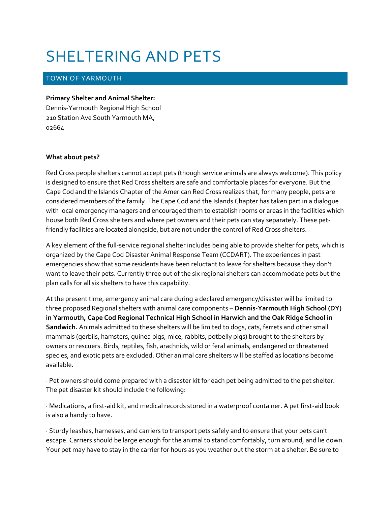## SHELTERING AND PETS

## TOWN OF YARMOUTH

## **Primary Shelter and Animal Shelter:**

Dennis-Yarmouth Regional High School 210 Station Ave South Yarmouth MA, 02664

## **What about pets?**

Red Cross people shelters cannot accept pets (though service animals are always welcome). This policy is designed to ensure that Red Cross shelters are safe and comfortable places for everyone. But the Cape Cod and the Islands Chapter of the American Red Cross realizes that, for many people, pets are considered members of the family. The Cape Cod and the Islands Chapter has taken part in a dialogue with local emergency managers and encouraged them to establish rooms or areas in the facilities which house both Red Cross shelters and where pet owners and their pets can stay separately. These petfriendly facilities are located alongside, but are not under the control of Red Cross shelters.

A key element of the full-service regional shelter includes being able to provide shelter for pets, which is organized by the Cape Cod Disaster Animal Response Team (CCDART). The experiences in past emergencies show that some residents have been reluctant to leave for shelters because they don't want to leave their pets. Currently three out of the six regional shelters can accommodate pets but the plan calls for all six shelters to have this capability.

At the present time, emergency animal care during a declared emergency/disaster will be limited to three proposed Regional shelters with animal care components – **Dennis-Yarmouth High School (DY) in Yarmouth, Cape Cod Regional Technical High School in Harwich and the Oak Ridge School in Sandwich.** Animals admitted to these shelters will be limited to dogs, cats, ferrets and other small mammals (gerbils, hamsters, guinea pigs, mice, rabbits, potbelly pigs) brought to the shelters by owners or rescuers. Birds, reptiles, fish, arachnids, wild or feral animals, endangered or threatened species, and exotic pets are excluded. Other animal care shelters will be staffed as locations become available.

· Pet owners should come prepared with a disaster kit for each pet being admitted to the pet shelter. The pet disaster kit should include the following:

· Medications, a first-aid kit, and medical records stored in a waterproof container. A pet first-aid book is also a handy to have.

· Sturdy leashes, harnesses, and carriers to transport pets safely and to ensure that your pets can't escape. Carriers should be large enough for the animal to stand comfortably, turn around, and lie down. Your pet may have to stay in the carrier for hours as you weather out the storm at a shelter. Be sure to